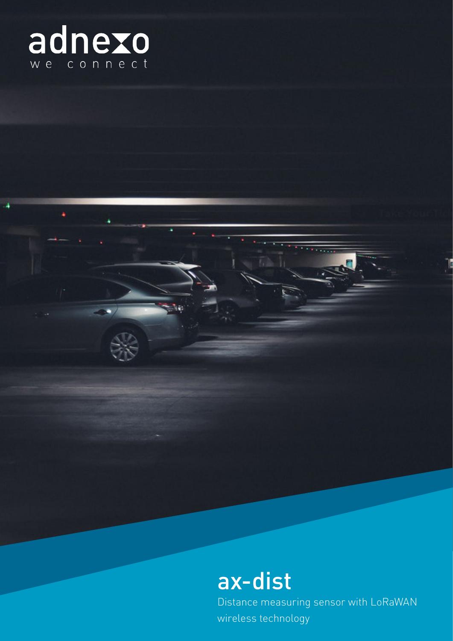

ä

# ax-dist

Distance measuring sensor with LoRaWAN wireless technology